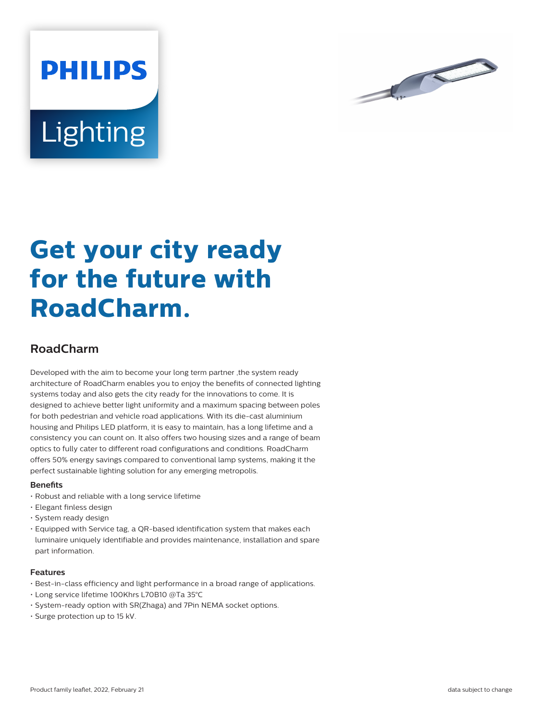



# **Get your city ready for the future with RoadCharm.**

## **RoadCharm**

Developed with the aim to become your long term partner ,the system ready architecture of RoadCharm enables you to enjoy the benefits of connected lighting systems today and also gets the city ready for the innovations to come. It is designed to achieve better light uniformity and a maximum spacing between poles for both pedestrian and vehicle road applications. With its die-cast aluminium housing and Philips LED platform, it is easy to maintain, has a long lifetime and a consistency you can count on. It also offers two housing sizes and a range of beam optics to fully cater to different road configurations and conditions. RoadCharm offers 50% energy savings compared to conventional lamp systems, making it the perfect sustainable lighting solution for any emerging metropolis.

#### **Benefits**

- Robust and reliable with a long service lifetime
- Elegant finless design
- System ready design
- Equipped with Service tag, a QR-based identification system that makes each luminaire uniquely identifiable and provides maintenance, installation and spare part information.

#### **Features**

- Best-in-class efficiency and light performance in a broad range of applications.
- Long service lifetime 100Khrs L70B10 @Ta 35°C
- System-ready option with SR(Zhaga) and 7Pin NEMA socket options.
- Surge protection up to 15 kV.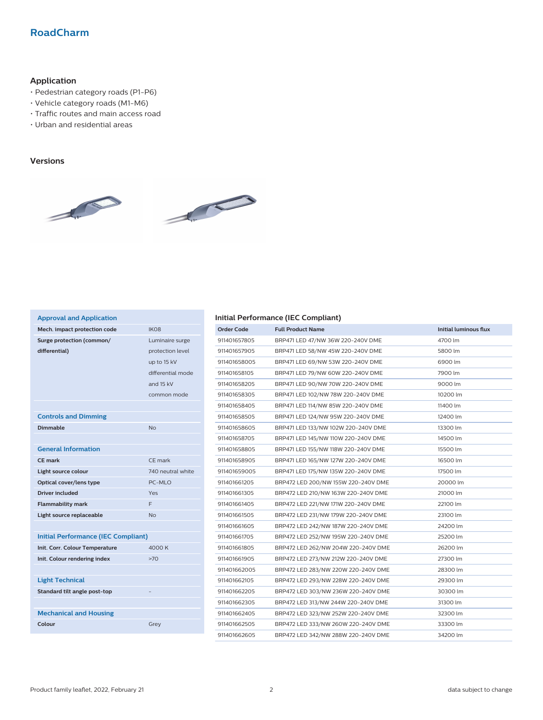## **RoadCharm**

## **Application**

- Pedestrian category roads (P1-P6)
- Vehicle category roads (M1-M6)
- Traffic routes and main access road
- Urban and residential areas

#### **Versions**



| <b>Approval and Application</b>            |                   |
|--------------------------------------------|-------------------|
| Mech. impact protection code               | IK <sub>O</sub> 8 |
| Surge protection (common/                  | Luminaire surge   |
| differential)                              | protection level  |
|                                            | up to 15 kV       |
|                                            | differential mode |
|                                            | and 15 kV         |
|                                            | common mode       |
|                                            |                   |
| <b>Controls and Dimming</b>                |                   |
| <b>Dimmable</b>                            | <b>No</b>         |
|                                            |                   |
| <b>General Information</b>                 |                   |
| <b>CE mark</b>                             | CE mark           |
| Light source colour                        | 740 neutral white |
| Optical cover/lens type                    | PC-MLO            |
| <b>Driver included</b>                     | Yes               |
| <b>Flammability mark</b>                   | F                 |
| Light source replaceable                   | <b>No</b>         |
|                                            |                   |
| <b>Initial Performance (IEC Compliant)</b> |                   |
| Init. Corr. Colour Temperature             | 4000 K            |
| Init. Colour rendering index               | >70               |
|                                            |                   |
| <b>Light Technical</b>                     |                   |
| Standard tilt angle post-top               |                   |
|                                            |                   |
| <b>Mechanical and Housing</b>              |                   |
| Colour                                     | Grey              |
|                                            |                   |

### **Initial Performance (IEC Compliant)**

| <b>Order Code</b> | <b>Full Product Name</b>            | <b>Initial luminous flux</b> |
|-------------------|-------------------------------------|------------------------------|
| 911401657805      | BRP471 LED 47/NW 36W 220-240V DME   | 4700 lm                      |
| 911401657905      | BRP471 LED 58/NW 45W 220-240V DME   | 5800 lm                      |
| 911401658005      | BRP471 LED 69/NW 53W 220-240V DME   | 6900 lm                      |
| 911401658105      | BRP471 LED 79/NW 60W 220-240V DME   | 7900 lm                      |
| 911401658205      | BRP471 LED 90/NW 70W 220-240V DME   | 9000 lm                      |
| 911401658305      | BRP471 LED 102/NW 78W 220-240V DME  | 10200 lm                     |
| 911401658405      | BRP471 LED 114/NW 85W 220-240V DME  | 11400 lm                     |
| 911401658505      | BRP471 LED 124/NW 95W 220-240V DME  | 12400 lm                     |
| 911401658605      | BRP471 LED 133/NW 102W 220-240V DME | 13300 lm                     |
| 911401658705      | BRP471 LED 145/NW 110W 220-240V DME | 14500 lm                     |
| 911401658805      | BRP471 LED 155/NW 118W 220-240V DME | 15500 lm                     |
| 911401658905      | BRP471 LED 165/NW 127W 220-240V DME | 16500 lm                     |
| 911401659005      | BRP471 LED 175/NW 135W 220-240V DME | 17500 lm                     |
| 911401661205      | BRP472 LED 200/NW 155W 220-240V DME | 20000 lm                     |
| 911401661305      | BRP472 LED 210/NW 163W 220-240V DME | 21000 lm                     |
| 911401661405      | BRP472 LED 221/NW 171W 220-240V DME | 22100 lm                     |
| 911401661505      | BRP472 LED 231/NW 179W 220-240V DME | 23100 lm                     |
| 911401661605      | BRP472 LED 242/NW 187W 220-240V DME | 24200 lm                     |
| 911401661705      | BRP472 LED 252/NW 195W 220-240V DME | 25200 lm                     |
| 911401661805      | BRP472 LED 262/NW 204W 220-240V DME | 26200 lm                     |
| 911401661905      | BRP472 LED 273/NW 212W 220-240V DME | 27300 lm                     |
| 911401662005      | BRP472 LED 283/NW 220W 220-240V DME | 28300 lm                     |
| 911401662105      | BRP472 LED 293/NW 228W 220-240V DME | 29300 lm                     |
| 911401662205      | BRP472 LED 303/NW 236W 220-240V DME | 30300 lm                     |
| 911401662305      | BRP472 LED 313/NW 244W 220-240V DME | 31300 lm                     |
| 911401662405      | BRP472 LED 323/NW 252W 220-240V DME | 32300 lm                     |
| 911401662505      | BRP472 LED 333/NW 260W 220-240V DME | 33300 lm                     |
| 911401662605      | BRP472 LED 342/NW 288W 220-240V DME | 34200 lm                     |